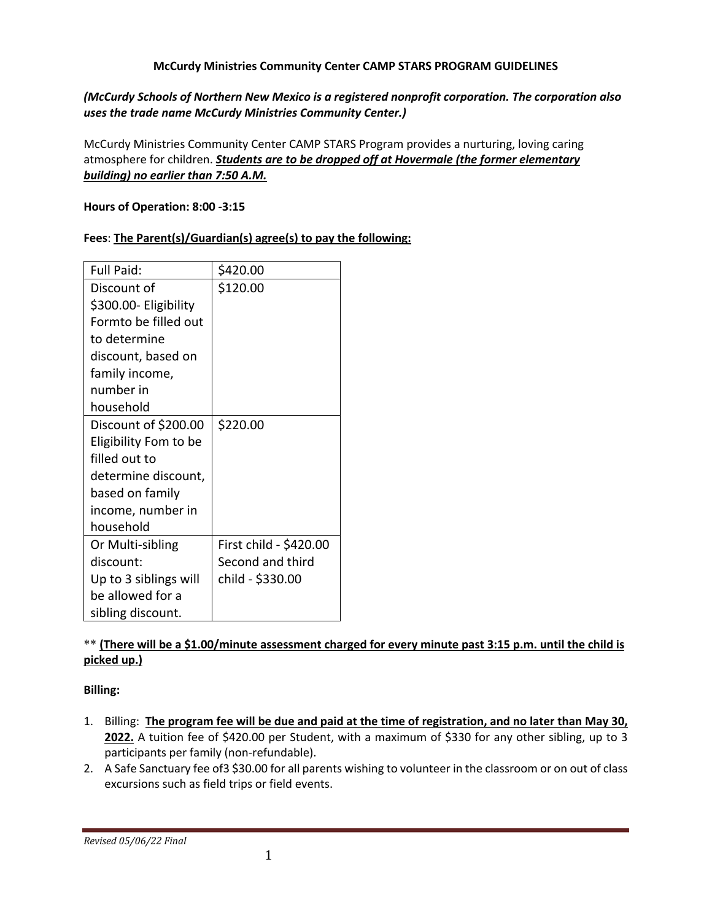#### **McCurdy Ministries Community Center CAMP STARS PROGRAM GUIDELINES**

### *(McCurdy Schools of Northern New Mexico is a registered nonprofit corporation. The corporation also uses the trade name McCurdy Ministries Community Center.)*

McCurdy Ministries Community Center CAMP STARS Program provides a nurturing, loving caring atmosphere for children. *Students are to be dropped off at Hovermale (the former elementary building) no earlier than 7:50 A.M.*

#### **Hours of Operation: 8:00 -3:15**

### **Fees**: **The Parent(s)/Guardian(s) agree(s) to pay the following:**

| <b>Full Paid:</b>     | \$420.00               |
|-----------------------|------------------------|
| Discount of           | \$120.00               |
| \$300.00- Eligibility |                        |
| Formto be filled out  |                        |
| to determine          |                        |
| discount, based on    |                        |
| family income,        |                        |
| number in             |                        |
| household             |                        |
| Discount of \$200.00  | \$220.00               |
| Eligibility Fom to be |                        |
| filled out to         |                        |
| determine discount,   |                        |
| based on family       |                        |
| income, number in     |                        |
| household             |                        |
| Or Multi-sibling      | First child - \$420.00 |
| discount:             | Second and third       |
| Up to 3 siblings will | child - \$330.00       |
| be allowed for a      |                        |
| sibling discount.     |                        |

### \*\* **(There will be a \$1.00/minute assessment charged for every minute past 3:15 p.m. until the child is picked up.)**

### **Billing:**

- 1. Billing: **The program fee will be due and paid at the time of registration, and no later than May 30, 2022.** A tuition fee of \$420.00 per Student, with a maximum of \$330 for any other sibling, up to 3 participants per family (non-refundable).
- 2. A Safe Sanctuary fee of3 \$30.00 for all parents wishing to volunteer in the classroom or on out of class excursions such as field trips or field events.

*Revised 05/06/22 Final*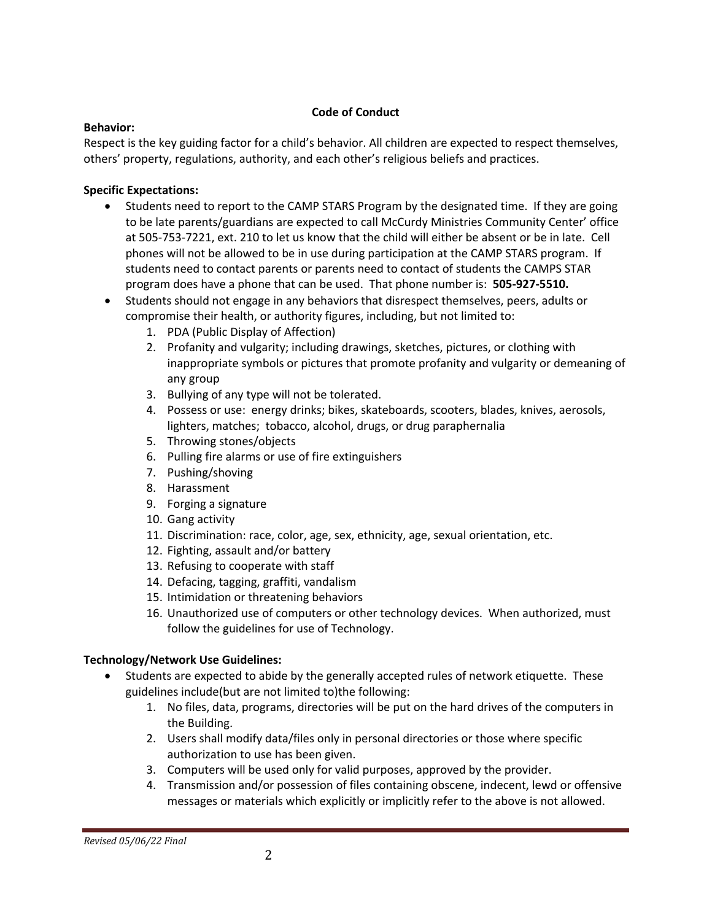### **Code of Conduct**

### **Behavior:**

Respect is the key guiding factor for a child's behavior. All children are expected to respect themselves, others' property, regulations, authority, and each other's religious beliefs and practices.

# **Specific Expectations:**

- Students need to report to the CAMP STARS Program by the designated time. If they are going to be late parents/guardians are expected to call McCurdy Ministries Community Center' office at 505-753-7221, ext. 210 to let us know that the child will either be absent or be in late. Cell phones will not be allowed to be in use during participation at the CAMP STARS program. If students need to contact parents or parents need to contact of students the CAMPS STAR program does have a phone that can be used. That phone number is: **505-927-5510.**
- Students should not engage in any behaviors that disrespect themselves, peers, adults or compromise their health, or authority figures, including, but not limited to:
	- 1. PDA (Public Display of Affection)
	- 2. Profanity and vulgarity; including drawings, sketches, pictures, or clothing with inappropriate symbols or pictures that promote profanity and vulgarity or demeaning of any group
	- 3. Bullying of any type will not be tolerated.
	- 4. Possess or use: energy drinks; bikes, skateboards, scooters, blades, knives, aerosols, lighters, matches; tobacco, alcohol, drugs, or drug paraphernalia
	- 5. Throwing stones/objects
	- 6. Pulling fire alarms or use of fire extinguishers
	- 7. Pushing/shoving
	- 8. Harassment
	- 9. Forging a signature
	- 10. Gang activity
	- 11. Discrimination: race, color, age, sex, ethnicity, age, sexual orientation, etc.
	- 12. Fighting, assault and/or battery
	- 13. Refusing to cooperate with staff
	- 14. Defacing, tagging, graffiti, vandalism
	- 15. Intimidation or threatening behaviors
	- 16. Unauthorized use of computers or other technology devices. When authorized, must follow the guidelines for use of Technology.

# **Technology/Network Use Guidelines:**

- Students are expected to abide by the generally accepted rules of network etiquette. These guidelines include(but are not limited to)the following:
	- 1. No files, data, programs, directories will be put on the hard drives of the computers in the Building.
	- 2. Users shall modify data/files only in personal directories or those where specific authorization to use has been given.
	- 3. Computers will be used only for valid purposes, approved by the provider.
	- 4. Transmission and/or possession of files containing obscene, indecent, lewd or offensive messages or materials which explicitly or implicitly refer to the above is not allowed.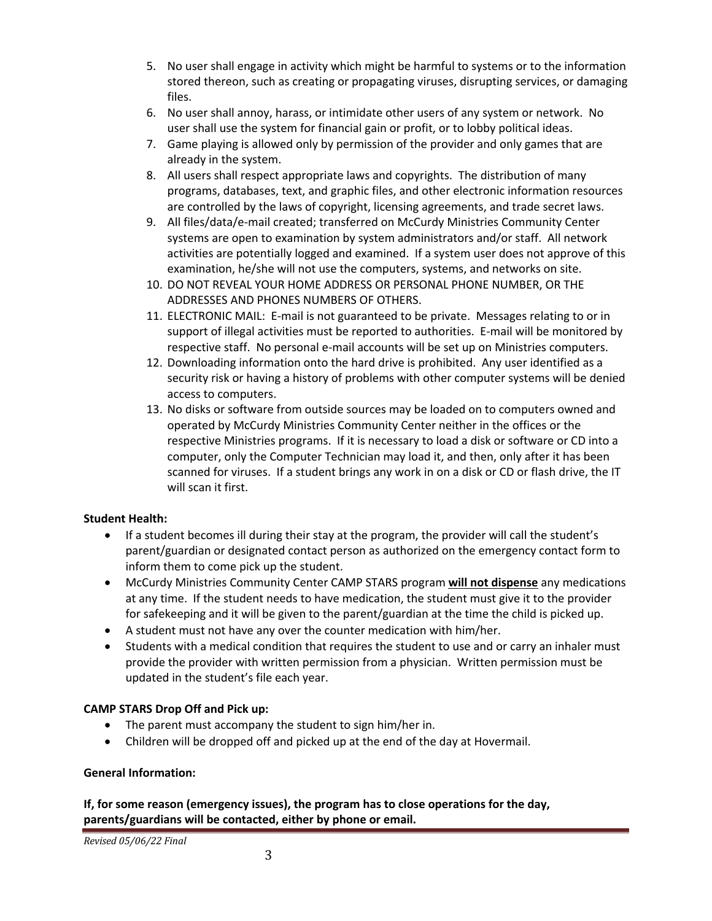- 5. No user shall engage in activity which might be harmful to systems or to the information stored thereon, such as creating or propagating viruses, disrupting services, or damaging files.
- 6. No user shall annoy, harass, or intimidate other users of any system or network. No user shall use the system for financial gain or profit, or to lobby political ideas.
- 7. Game playing is allowed only by permission of the provider and only games that are already in the system.
- 8. All users shall respect appropriate laws and copyrights. The distribution of many programs, databases, text, and graphic files, and other electronic information resources are controlled by the laws of copyright, licensing agreements, and trade secret laws.
- 9. All files/data/e-mail created; transferred on McCurdy Ministries Community Center systems are open to examination by system administrators and/or staff. All network activities are potentially logged and examined. If a system user does not approve of this examination, he/she will not use the computers, systems, and networks on site.
- 10. DO NOT REVEAL YOUR HOME ADDRESS OR PERSONAL PHONE NUMBER, OR THE ADDRESSES AND PHONES NUMBERS OF OTHERS.
- 11. ELECTRONIC MAIL: E-mail is not guaranteed to be private. Messages relating to or in support of illegal activities must be reported to authorities. E-mail will be monitored by respective staff. No personal e-mail accounts will be set up on Ministries computers.
- 12. Downloading information onto the hard drive is prohibited. Any user identified as a security risk or having a history of problems with other computer systems will be denied access to computers.
- 13. No disks or software from outside sources may be loaded on to computers owned and operated by McCurdy Ministries Community Center neither in the offices or the respective Ministries programs. If it is necessary to load a disk or software or CD into a computer, only the Computer Technician may load it, and then, only after it has been scanned for viruses. If a student brings any work in on a disk or CD or flash drive, the IT will scan it first.

# **Student Health:**

- If a student becomes ill during their stay at the program, the provider will call the student's parent/guardian or designated contact person as authorized on the emergency contact form to inform them to come pick up the student.
- McCurdy Ministries Community Center CAMP STARS program **will not dispense** any medications at any time. If the student needs to have medication, the student must give it to the provider for safekeeping and it will be given to the parent/guardian at the time the child is picked up.
- A student must not have any over the counter medication with him/her.
- Students with a medical condition that requires the student to use and or carry an inhaler must provide the provider with written permission from a physician. Written permission must be updated in the student's file each year.

# **CAMP STARS Drop Off and Pick up:**

- The parent must accompany the student to sign him/her in.
- Children will be dropped off and picked up at the end of the day at Hovermail.

# **General Information:**

**If, for some reason (emergency issues), the program has to close operations for the day, parents/guardians will be contacted, either by phone or email.**